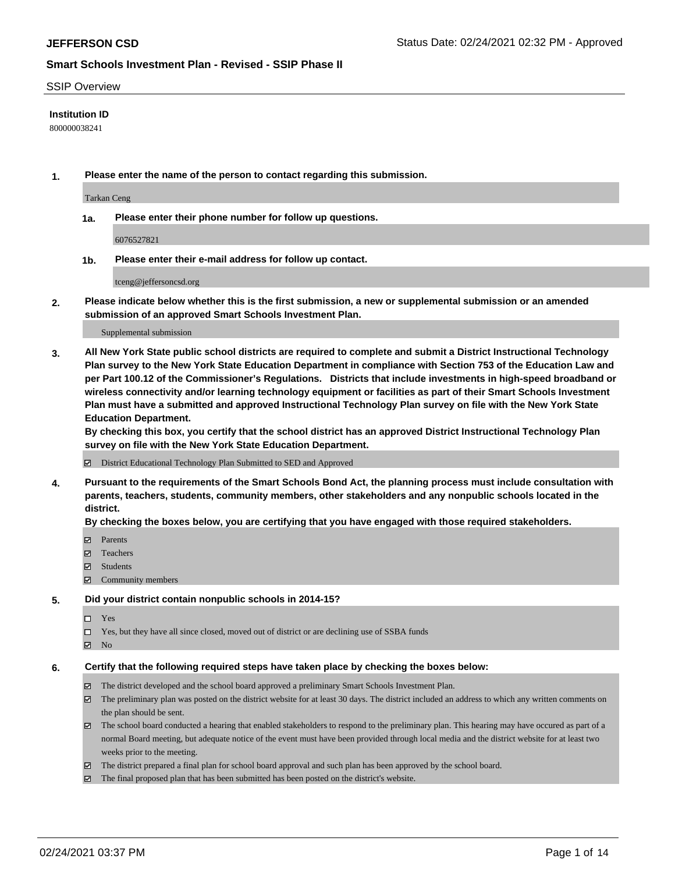### SSIP Overview

### **Institution ID**

800000038241

**1. Please enter the name of the person to contact regarding this submission.**

Tarkan Ceng

**1a. Please enter their phone number for follow up questions.**

6076527821

**1b. Please enter their e-mail address for follow up contact.**

tceng@jeffersoncsd.org

**2. Please indicate below whether this is the first submission, a new or supplemental submission or an amended submission of an approved Smart Schools Investment Plan.**

### Supplemental submission

**3. All New York State public school districts are required to complete and submit a District Instructional Technology Plan survey to the New York State Education Department in compliance with Section 753 of the Education Law and per Part 100.12 of the Commissioner's Regulations. Districts that include investments in high-speed broadband or wireless connectivity and/or learning technology equipment or facilities as part of their Smart Schools Investment Plan must have a submitted and approved Instructional Technology Plan survey on file with the New York State Education Department.** 

**By checking this box, you certify that the school district has an approved District Instructional Technology Plan survey on file with the New York State Education Department.**

District Educational Technology Plan Submitted to SED and Approved

**4. Pursuant to the requirements of the Smart Schools Bond Act, the planning process must include consultation with parents, teachers, students, community members, other stakeholders and any nonpublic schools located in the district.** 

### **By checking the boxes below, you are certifying that you have engaged with those required stakeholders.**

- **Ø** Parents
- Teachers
- Students
- $\Xi$  Community members

#### **5. Did your district contain nonpublic schools in 2014-15?**

- Yes
- □ Yes, but they have all since closed, moved out of district or are declining use of SSBA funds
- **Ø** No

### **6. Certify that the following required steps have taken place by checking the boxes below:**

- The district developed and the school board approved a preliminary Smart Schools Investment Plan.
- The preliminary plan was posted on the district website for at least 30 days. The district included an address to which any written comments on the plan should be sent.
- The school board conducted a hearing that enabled stakeholders to respond to the preliminary plan. This hearing may have occured as part of a normal Board meeting, but adequate notice of the event must have been provided through local media and the district website for at least two weeks prior to the meeting.
- The district prepared a final plan for school board approval and such plan has been approved by the school board.
- $\boxtimes$  The final proposed plan that has been submitted has been posted on the district's website.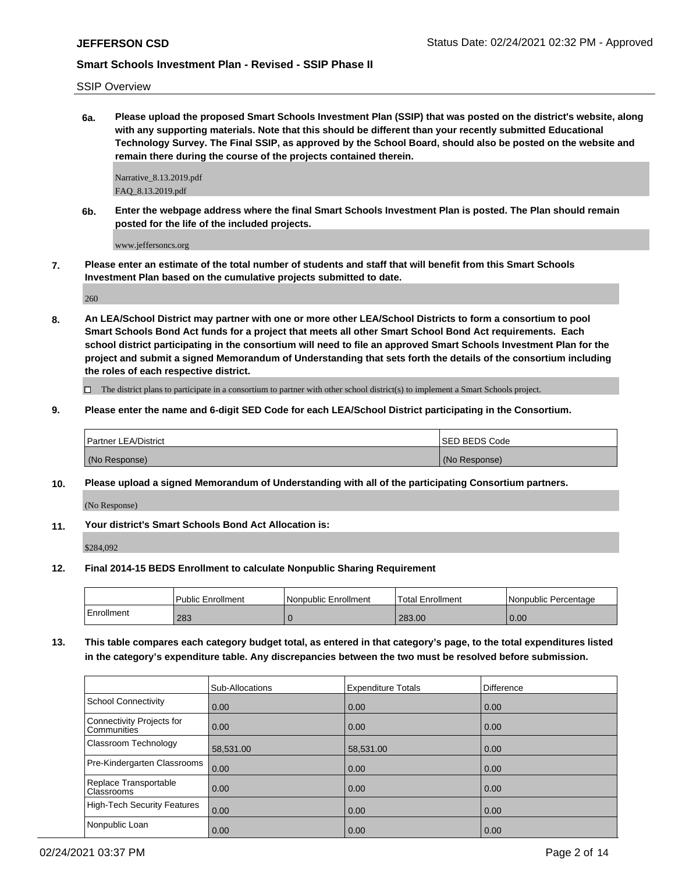SSIP Overview

**6a. Please upload the proposed Smart Schools Investment Plan (SSIP) that was posted on the district's website, along with any supporting materials. Note that this should be different than your recently submitted Educational Technology Survey. The Final SSIP, as approved by the School Board, should also be posted on the website and remain there during the course of the projects contained therein.**

Narrative\_8.13.2019.pdf FAQ\_8.13.2019.pdf

**6b. Enter the webpage address where the final Smart Schools Investment Plan is posted. The Plan should remain posted for the life of the included projects.**

www.jeffersoncs.org

**7. Please enter an estimate of the total number of students and staff that will benefit from this Smart Schools Investment Plan based on the cumulative projects submitted to date.**

260

**8. An LEA/School District may partner with one or more other LEA/School Districts to form a consortium to pool Smart Schools Bond Act funds for a project that meets all other Smart School Bond Act requirements. Each school district participating in the consortium will need to file an approved Smart Schools Investment Plan for the project and submit a signed Memorandum of Understanding that sets forth the details of the consortium including the roles of each respective district.**

 $\Box$  The district plans to participate in a consortium to partner with other school district(s) to implement a Smart Schools project.

**9. Please enter the name and 6-digit SED Code for each LEA/School District participating in the Consortium.**

| <b>Partner LEA/District</b> | <b>ISED BEDS Code</b> |
|-----------------------------|-----------------------|
| (No Response)               | (No Response)         |

**10. Please upload a signed Memorandum of Understanding with all of the participating Consortium partners.**

(No Response)

**11. Your district's Smart Schools Bond Act Allocation is:**

\$284,092

**12. Final 2014-15 BEDS Enrollment to calculate Nonpublic Sharing Requirement**

|            | <b>Public Enrollment</b> | Nonpublic Enrollment | 'Total Enrollment | l Nonpublic Percentage |
|------------|--------------------------|----------------------|-------------------|------------------------|
| Enrollment | 283                      |                      | 283.00            | 0.00                   |

**13. This table compares each category budget total, as entered in that category's page, to the total expenditures listed in the category's expenditure table. Any discrepancies between the two must be resolved before submission.**

|                                                 | Sub-Allocations | <b>Expenditure Totals</b> | <b>Difference</b> |
|-------------------------------------------------|-----------------|---------------------------|-------------------|
| School Connectivity                             | 0.00            | 0.00                      | 0.00              |
| Connectivity Projects for<br><b>Communities</b> | 0.00            | 0.00                      | 0.00              |
| <b>Classroom Technology</b>                     | 58,531.00       | 58,531.00                 | 0.00              |
| Pre-Kindergarten Classrooms                     | 0.00            | 0.00                      | 0.00              |
| Replace Transportable<br>Classrooms             | 0.00            | 0.00                      | 0.00              |
| High-Tech Security Features                     | 0.00            | 0.00                      | 0.00              |
| Nonpublic Loan                                  | 0.00            | 0.00                      | 0.00              |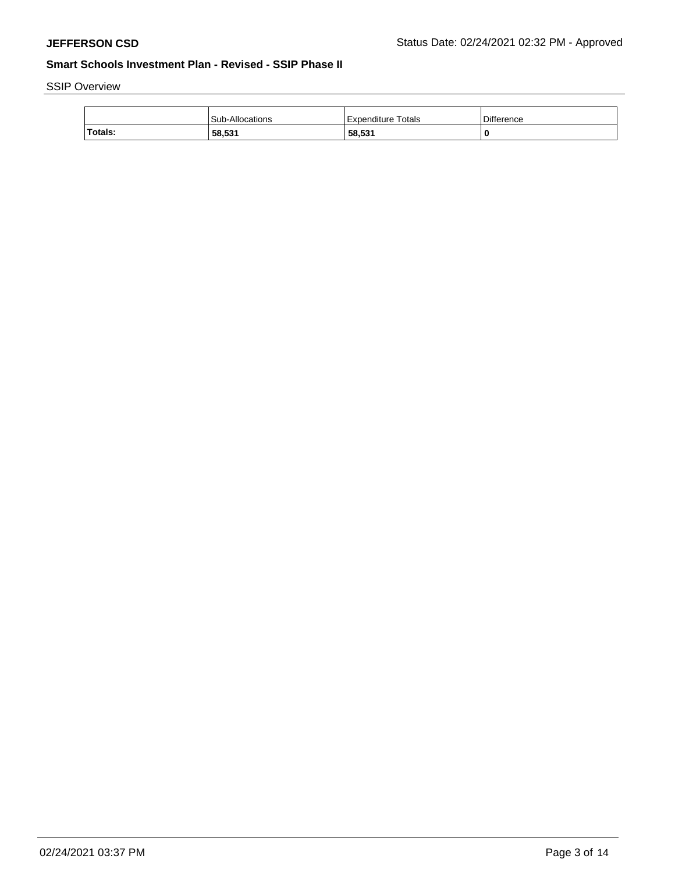# SSIP Overview

|         | Sub-Allocations | Totals<br>Expenditure | Difference |
|---------|-----------------|-----------------------|------------|
| Totals: | 58,531          | 58,531                | 0          |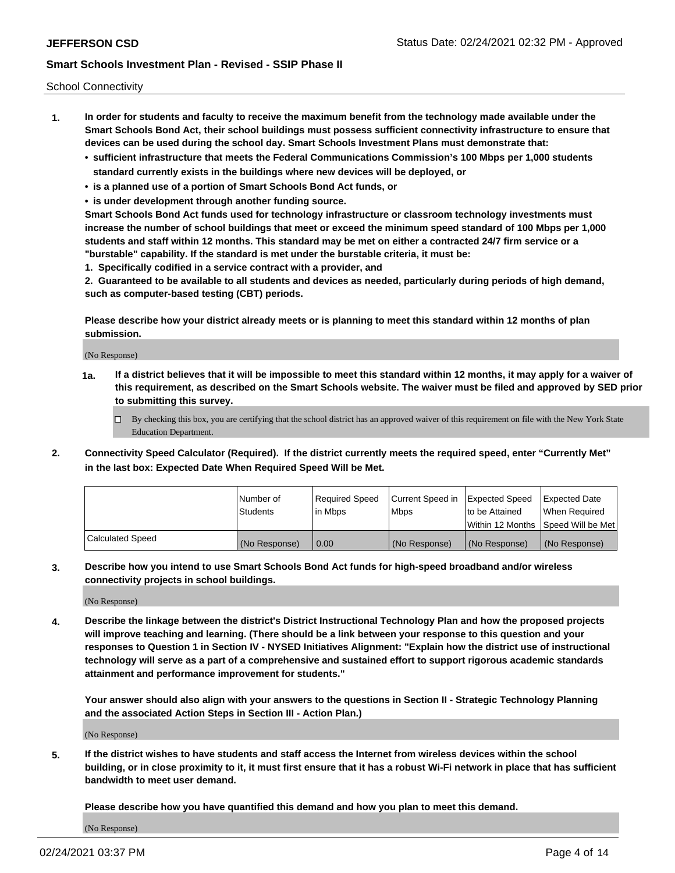School Connectivity

- **1. In order for students and faculty to receive the maximum benefit from the technology made available under the Smart Schools Bond Act, their school buildings must possess sufficient connectivity infrastructure to ensure that devices can be used during the school day. Smart Schools Investment Plans must demonstrate that:**
	- **• sufficient infrastructure that meets the Federal Communications Commission's 100 Mbps per 1,000 students standard currently exists in the buildings where new devices will be deployed, or**
	- **• is a planned use of a portion of Smart Schools Bond Act funds, or**
	- **• is under development through another funding source.**

**Smart Schools Bond Act funds used for technology infrastructure or classroom technology investments must increase the number of school buildings that meet or exceed the minimum speed standard of 100 Mbps per 1,000 students and staff within 12 months. This standard may be met on either a contracted 24/7 firm service or a "burstable" capability. If the standard is met under the burstable criteria, it must be:**

**1. Specifically codified in a service contract with a provider, and**

**2. Guaranteed to be available to all students and devices as needed, particularly during periods of high demand, such as computer-based testing (CBT) periods.**

**Please describe how your district already meets or is planning to meet this standard within 12 months of plan submission.**

(No Response)

**1a. If a district believes that it will be impossible to meet this standard within 12 months, it may apply for a waiver of this requirement, as described on the Smart Schools website. The waiver must be filed and approved by SED prior to submitting this survey.**

 $\Box$  By checking this box, you are certifying that the school district has an approved waiver of this requirement on file with the New York State Education Department.

**2. Connectivity Speed Calculator (Required). If the district currently meets the required speed, enter "Currently Met" in the last box: Expected Date When Required Speed Will be Met.**

|                  | l Number of     | Required Speed | Current Speed in | Expected Speed | Expected Date                        |
|------------------|-----------------|----------------|------------------|----------------|--------------------------------------|
|                  | <b>Students</b> | In Mbps        | Mbps             | to be Attained | When Required                        |
|                  |                 |                |                  |                | Within 12 Months 1Speed Will be Met1 |
| Calculated Speed | (No Response)   | 0.00           | (No Response)    | (No Response)  | l (No Response)                      |

**3. Describe how you intend to use Smart Schools Bond Act funds for high-speed broadband and/or wireless connectivity projects in school buildings.**

(No Response)

**4. Describe the linkage between the district's District Instructional Technology Plan and how the proposed projects will improve teaching and learning. (There should be a link between your response to this question and your responses to Question 1 in Section IV - NYSED Initiatives Alignment: "Explain how the district use of instructional technology will serve as a part of a comprehensive and sustained effort to support rigorous academic standards attainment and performance improvement for students."** 

**Your answer should also align with your answers to the questions in Section II - Strategic Technology Planning and the associated Action Steps in Section III - Action Plan.)**

(No Response)

**5. If the district wishes to have students and staff access the Internet from wireless devices within the school building, or in close proximity to it, it must first ensure that it has a robust Wi-Fi network in place that has sufficient bandwidth to meet user demand.**

**Please describe how you have quantified this demand and how you plan to meet this demand.**

(No Response)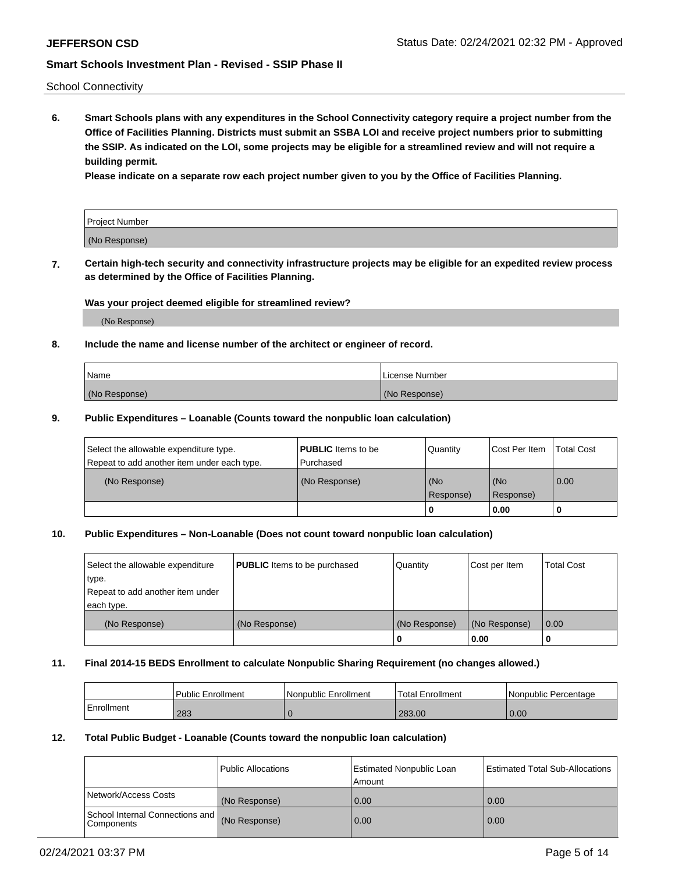School Connectivity

**6. Smart Schools plans with any expenditures in the School Connectivity category require a project number from the Office of Facilities Planning. Districts must submit an SSBA LOI and receive project numbers prior to submitting the SSIP. As indicated on the LOI, some projects may be eligible for a streamlined review and will not require a building permit.**

**Please indicate on a separate row each project number given to you by the Office of Facilities Planning.**

| Project Number |  |
|----------------|--|
| (No Response)  |  |

**7. Certain high-tech security and connectivity infrastructure projects may be eligible for an expedited review process as determined by the Office of Facilities Planning.**

### **Was your project deemed eligible for streamlined review?**

(No Response)

### **8. Include the name and license number of the architect or engineer of record.**

| Name          | License Number |
|---------------|----------------|
| (No Response) | (No Response)  |

### **9. Public Expenditures – Loanable (Counts toward the nonpublic loan calculation)**

| Select the allowable expenditure type.<br>Repeat to add another item under each type. | <b>PUBLIC</b> Items to be<br>l Purchased | Quantity         | l Cost Per Item  | <b>Total Cost</b> |
|---------------------------------------------------------------------------------------|------------------------------------------|------------------|------------------|-------------------|
| (No Response)                                                                         | (No Response)                            | (No<br>Response) | (No<br>Response) | 0.00              |
|                                                                                       |                                          | 0                | 0.00             |                   |

## **10. Public Expenditures – Non-Loanable (Does not count toward nonpublic loan calculation)**

| Select the allowable expenditure<br>type.<br>Repeat to add another item under<br>each type. | <b>PUBLIC</b> Items to be purchased | Quantity      | Cost per Item | <b>Total Cost</b> |
|---------------------------------------------------------------------------------------------|-------------------------------------|---------------|---------------|-------------------|
| (No Response)                                                                               | (No Response)                       | (No Response) | (No Response) | 0.00              |
|                                                                                             |                                     |               | 0.00          |                   |

#### **11. Final 2014-15 BEDS Enrollment to calculate Nonpublic Sharing Requirement (no changes allowed.)**

|            | Public Enrollment | <b>Nonpublic Enrollment</b> | Total Enrollment | l Nonpublic Percentage |
|------------|-------------------|-----------------------------|------------------|------------------------|
| Enrollment | 283               |                             | 283.00           | 0.00                   |

### **12. Total Public Budget - Loanable (Counts toward the nonpublic loan calculation)**

|                                                      | Public Allocations | <b>Estimated Nonpublic Loan</b><br>Amount | Estimated Total Sub-Allocations |
|------------------------------------------------------|--------------------|-------------------------------------------|---------------------------------|
| Network/Access Costs                                 | (No Response)      | 0.00                                      | 0.00                            |
| School Internal Connections and<br><b>Components</b> | (No Response)      | 0.00                                      | 0.00                            |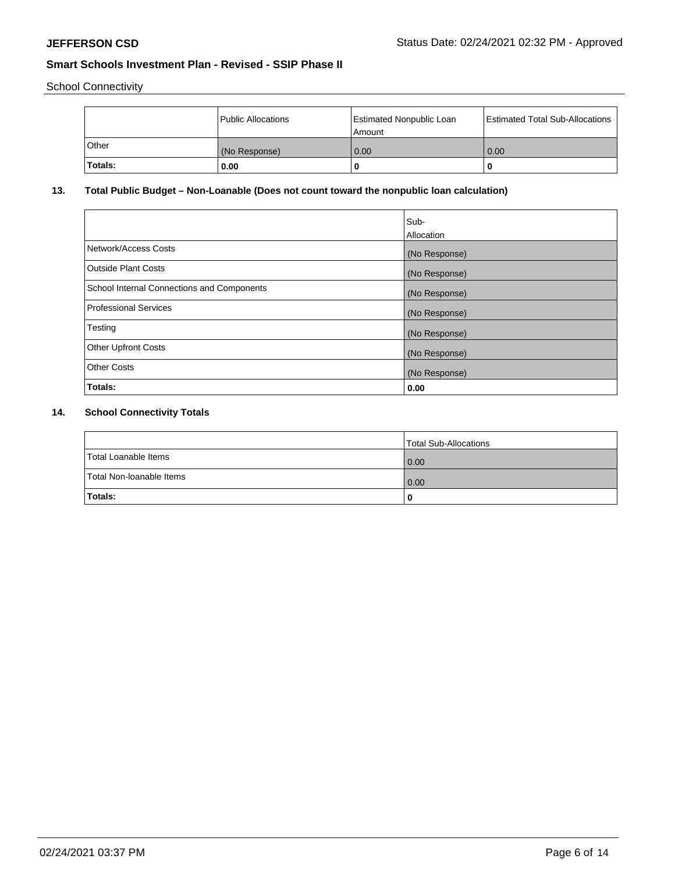School Connectivity

|              | Public Allocations | Estimated Nonpublic Loan<br>l Amount | <b>Estimated Total Sub-Allocations</b> |
|--------------|--------------------|--------------------------------------|----------------------------------------|
| <b>Other</b> | (No Response)      | 0.00                                 | 0.00                                   |
| Totals:      | 0.00               | 0                                    | 0                                      |

## **13. Total Public Budget – Non-Loanable (Does not count toward the nonpublic loan calculation)**

|                                                   | Sub-<br>Allocation |
|---------------------------------------------------|--------------------|
| Network/Access Costs                              | (No Response)      |
| <b>Outside Plant Costs</b>                        | (No Response)      |
| <b>School Internal Connections and Components</b> | (No Response)      |
| <b>Professional Services</b>                      | (No Response)      |
| Testing                                           | (No Response)      |
| <b>Other Upfront Costs</b>                        | (No Response)      |
| <b>Other Costs</b>                                | (No Response)      |
| Totals:                                           | 0.00               |

## **14. School Connectivity Totals**

|                          | Total Sub-Allocations |
|--------------------------|-----------------------|
| Total Loanable Items     | 0.00                  |
| Total Non-Ioanable Items | 0.00                  |
| Totals:                  | 0                     |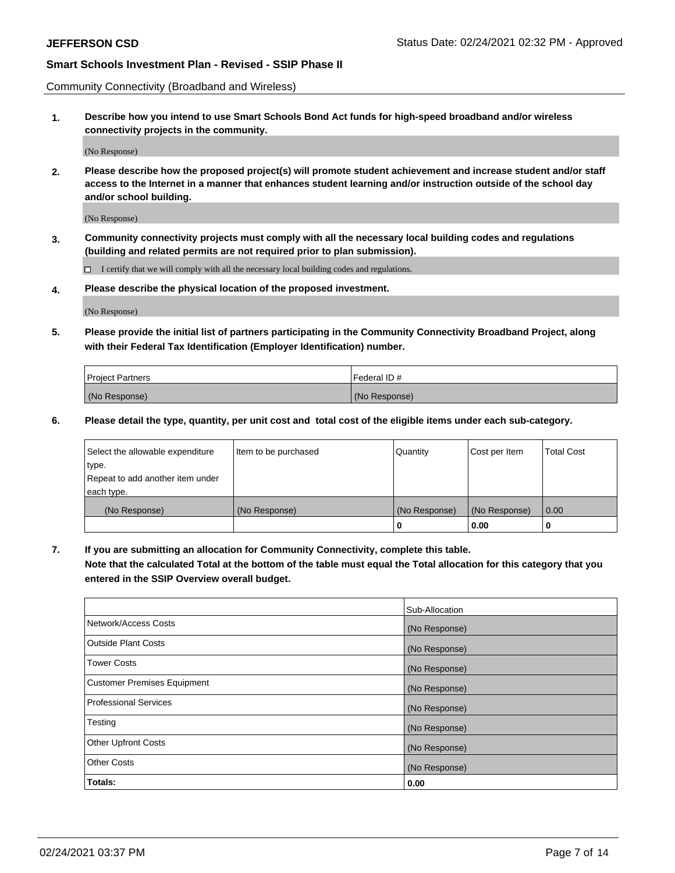Community Connectivity (Broadband and Wireless)

**1. Describe how you intend to use Smart Schools Bond Act funds for high-speed broadband and/or wireless connectivity projects in the community.**

(No Response)

**2. Please describe how the proposed project(s) will promote student achievement and increase student and/or staff access to the Internet in a manner that enhances student learning and/or instruction outside of the school day and/or school building.**

(No Response)

**3. Community connectivity projects must comply with all the necessary local building codes and regulations (building and related permits are not required prior to plan submission).**

 $\Box$  I certify that we will comply with all the necessary local building codes and regulations.

**4. Please describe the physical location of the proposed investment.**

(No Response)

**5. Please provide the initial list of partners participating in the Community Connectivity Broadband Project, along with their Federal Tax Identification (Employer Identification) number.**

| <b>Project Partners</b> | l Federal ID # |
|-------------------------|----------------|
| (No Response)           | (No Response)  |

**6. Please detail the type, quantity, per unit cost and total cost of the eligible items under each sub-category.**

| Select the allowable expenditure | Item to be purchased | Quantity      | Cost per Item | <b>Total Cost</b> |
|----------------------------------|----------------------|---------------|---------------|-------------------|
| type.                            |                      |               |               |                   |
| Repeat to add another item under |                      |               |               |                   |
| each type.                       |                      |               |               |                   |
| (No Response)                    | (No Response)        | (No Response) | (No Response) | 0.00              |
|                                  |                      | o             | 0.00          |                   |

**7. If you are submitting an allocation for Community Connectivity, complete this table.**

**Note that the calculated Total at the bottom of the table must equal the Total allocation for this category that you entered in the SSIP Overview overall budget.**

|                                    | Sub-Allocation |
|------------------------------------|----------------|
| Network/Access Costs               | (No Response)  |
| Outside Plant Costs                | (No Response)  |
| <b>Tower Costs</b>                 | (No Response)  |
| <b>Customer Premises Equipment</b> | (No Response)  |
| <b>Professional Services</b>       | (No Response)  |
| Testing                            | (No Response)  |
| <b>Other Upfront Costs</b>         | (No Response)  |
| <b>Other Costs</b>                 | (No Response)  |
| Totals:                            | 0.00           |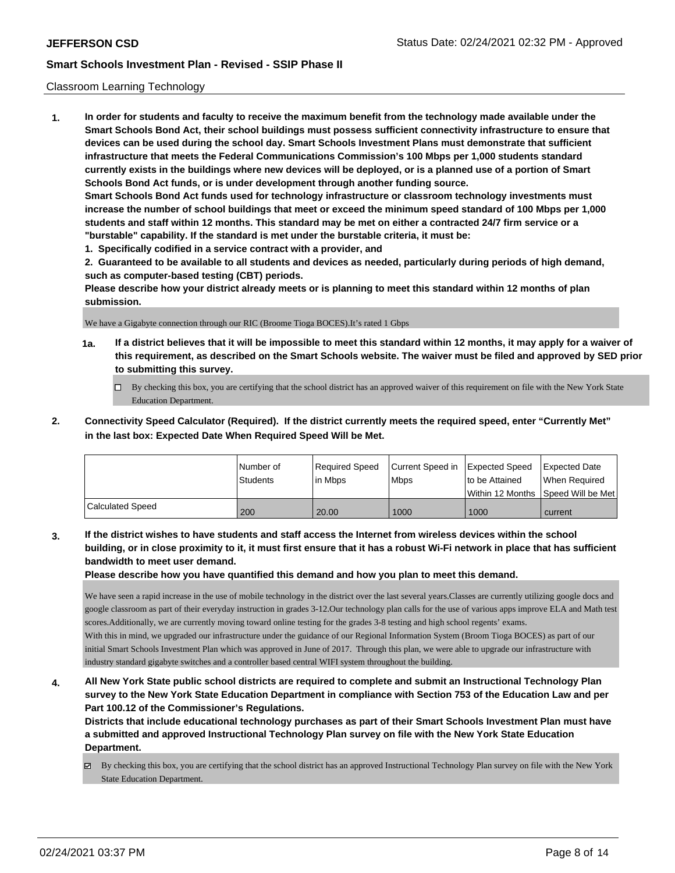### Classroom Learning Technology

**1. In order for students and faculty to receive the maximum benefit from the technology made available under the Smart Schools Bond Act, their school buildings must possess sufficient connectivity infrastructure to ensure that devices can be used during the school day. Smart Schools Investment Plans must demonstrate that sufficient infrastructure that meets the Federal Communications Commission's 100 Mbps per 1,000 students standard currently exists in the buildings where new devices will be deployed, or is a planned use of a portion of Smart Schools Bond Act funds, or is under development through another funding source. Smart Schools Bond Act funds used for technology infrastructure or classroom technology investments must increase the number of school buildings that meet or exceed the minimum speed standard of 100 Mbps per 1,000 students and staff within 12 months. This standard may be met on either a contracted 24/7 firm service or a "burstable" capability. If the standard is met under the burstable criteria, it must be: 1. Specifically codified in a service contract with a provider, and**

**2. Guaranteed to be available to all students and devices as needed, particularly during periods of high demand, such as computer-based testing (CBT) periods.**

**Please describe how your district already meets or is planning to meet this standard within 12 months of plan submission.**

We have a Gigabyte connection through our RIC (Broome Tioga BOCES).It's rated 1 Gbps

- **1a. If a district believes that it will be impossible to meet this standard within 12 months, it may apply for a waiver of this requirement, as described on the Smart Schools website. The waiver must be filed and approved by SED prior to submitting this survey.**
	- By checking this box, you are certifying that the school district has an approved waiver of this requirement on file with the New York State Education Department.
- **2. Connectivity Speed Calculator (Required). If the district currently meets the required speed, enter "Currently Met" in the last box: Expected Date When Required Speed Will be Met.**

|                         | l Number of     | Required Speed | Current Speed in | <b>Expected Speed</b> | <b>Expected Date</b>                    |
|-------------------------|-----------------|----------------|------------------|-----------------------|-----------------------------------------|
|                         | <b>Students</b> | In Mbps        | Mbps             | to be Attained        | When Required                           |
|                         |                 |                |                  |                       | l Within 12 Months ISpeed Will be Met l |
| <b>Calculated Speed</b> | 200             | 20.00          | 1000             | 1000                  | current                                 |

**3. If the district wishes to have students and staff access the Internet from wireless devices within the school building, or in close proximity to it, it must first ensure that it has a robust Wi-Fi network in place that has sufficient bandwidth to meet user demand.**

**Please describe how you have quantified this demand and how you plan to meet this demand.**

We have seen a rapid increase in the use of mobile technology in the district over the last several years.Classes are currently utilizing google docs and google classroom as part of their everyday instruction in grades 3-12.Our technology plan calls for the use of various apps improve ELA and Math test scores.Additionally, we are currently moving toward online testing for the grades 3-8 testing and high school regents' exams. With this in mind, we upgraded our infrastructure under the guidance of our Regional Information System (Broom Tioga BOCES) as part of our initial Smart Schools Investment Plan which was approved in June of 2017. Through this plan, we were able to upgrade our infrastructure with industry standard gigabyte switches and a controller based central WIFI system throughout the building.

**4. All New York State public school districts are required to complete and submit an Instructional Technology Plan survey to the New York State Education Department in compliance with Section 753 of the Education Law and per Part 100.12 of the Commissioner's Regulations.**

**Districts that include educational technology purchases as part of their Smart Schools Investment Plan must have a submitted and approved Instructional Technology Plan survey on file with the New York State Education Department.**

 $\boxtimes$  By checking this box, you are certifying that the school district has an approved Instructional Technology Plan survey on file with the New York State Education Department.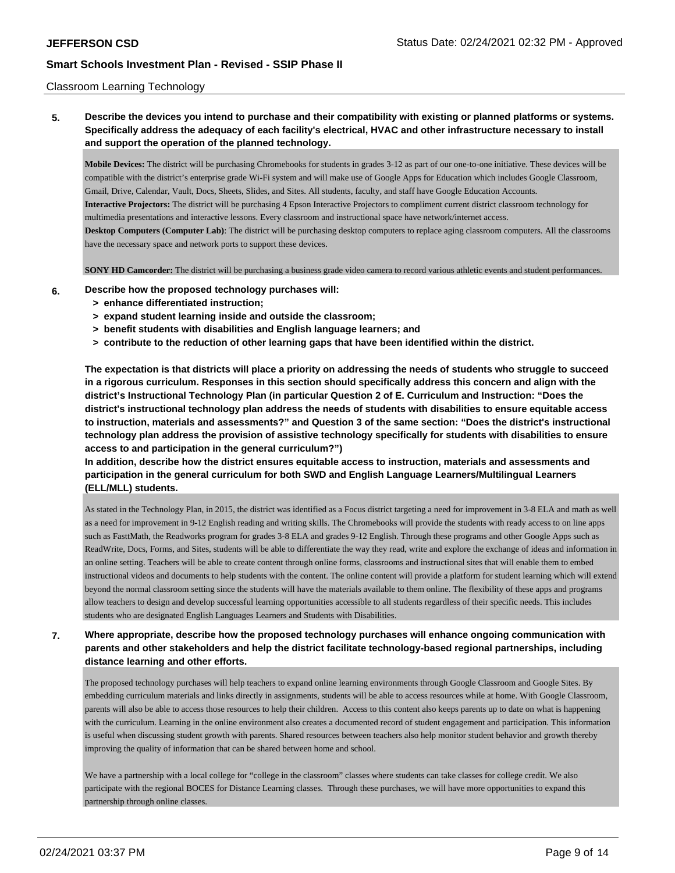### Classroom Learning Technology

## **5. Describe the devices you intend to purchase and their compatibility with existing or planned platforms or systems. Specifically address the adequacy of each facility's electrical, HVAC and other infrastructure necessary to install and support the operation of the planned technology.**

**Mobile Devices:** The district will be purchasing Chromebooks for students in grades 3-12 as part of our one-to-one initiative. These devices will be compatible with the district's enterprise grade Wi-Fi system and will make use of Google Apps for Education which includes Google Classroom, Gmail, Drive, Calendar, Vault, Docs, Sheets, Slides, and Sites. All students, faculty, and staff have Google Education Accounts. **Interactive Projectors:** The district will be purchasing 4 Epson Interactive Projectors to compliment current district classroom technology for multimedia presentations and interactive lessons. Every classroom and instructional space have network/internet access. **Desktop Computers (Computer Lab)**: The district will be purchasing desktop computers to replace aging classroom computers. All the classrooms have the necessary space and network ports to support these devices.

**SONY HD Camcorder:** The district will be purchasing a business grade video camera to record various athletic events and student performances.

- **6. Describe how the proposed technology purchases will:**
	- **> enhance differentiated instruction;**
	- **> expand student learning inside and outside the classroom;**
	- **> benefit students with disabilities and English language learners; and**
	- **> contribute to the reduction of other learning gaps that have been identified within the district.**

**The expectation is that districts will place a priority on addressing the needs of students who struggle to succeed in a rigorous curriculum. Responses in this section should specifically address this concern and align with the district's Instructional Technology Plan (in particular Question 2 of E. Curriculum and Instruction: "Does the district's instructional technology plan address the needs of students with disabilities to ensure equitable access to instruction, materials and assessments?" and Question 3 of the same section: "Does the district's instructional technology plan address the provision of assistive technology specifically for students with disabilities to ensure access to and participation in the general curriculum?")**

**In addition, describe how the district ensures equitable access to instruction, materials and assessments and participation in the general curriculum for both SWD and English Language Learners/Multilingual Learners (ELL/MLL) students.**

As stated in the Technology Plan, in 2015, the district was identified as a Focus district targeting a need for improvement in 3-8 ELA and math as well as a need for improvement in 9-12 English reading and writing skills. The Chromebooks will provide the students with ready access to on line apps such as FasttMath, the Readworks program for grades 3-8 ELA and grades 9-12 English. Through these programs and other Google Apps such as ReadWrite, Docs, Forms, and Sites, students will be able to differentiate the way they read, write and explore the exchange of ideas and information in an online setting. Teachers will be able to create content through online forms, classrooms and instructional sites that will enable them to embed instructional videos and documents to help students with the content. The online content will provide a platform for student learning which will extend beyond the normal classroom setting since the students will have the materials available to them online. The flexibility of these apps and programs allow teachers to design and develop successful learning opportunities accessible to all students regardless of their specific needs. This includes students who are designated English Languages Learners and Students with Disabilities.

**7. Where appropriate, describe how the proposed technology purchases will enhance ongoing communication with parents and other stakeholders and help the district facilitate technology-based regional partnerships, including distance learning and other efforts.**

The proposed technology purchases will help teachers to expand online learning environments through Google Classroom and Google Sites. By embedding curriculum materials and links directly in assignments, students will be able to access resources while at home. With Google Classroom, parents will also be able to access those resources to help their children. Access to this content also keeps parents up to date on what is happening with the curriculum. Learning in the online environment also creates a documented record of student engagement and participation. This information is useful when discussing student growth with parents. Shared resources between teachers also help monitor student behavior and growth thereby improving the quality of information that can be shared between home and school.

We have a partnership with a local college for "college in the classroom" classes where students can take classes for college credit. We also participate with the regional BOCES for Distance Learning classes. Through these purchases, we will have more opportunities to expand this partnership through online classes.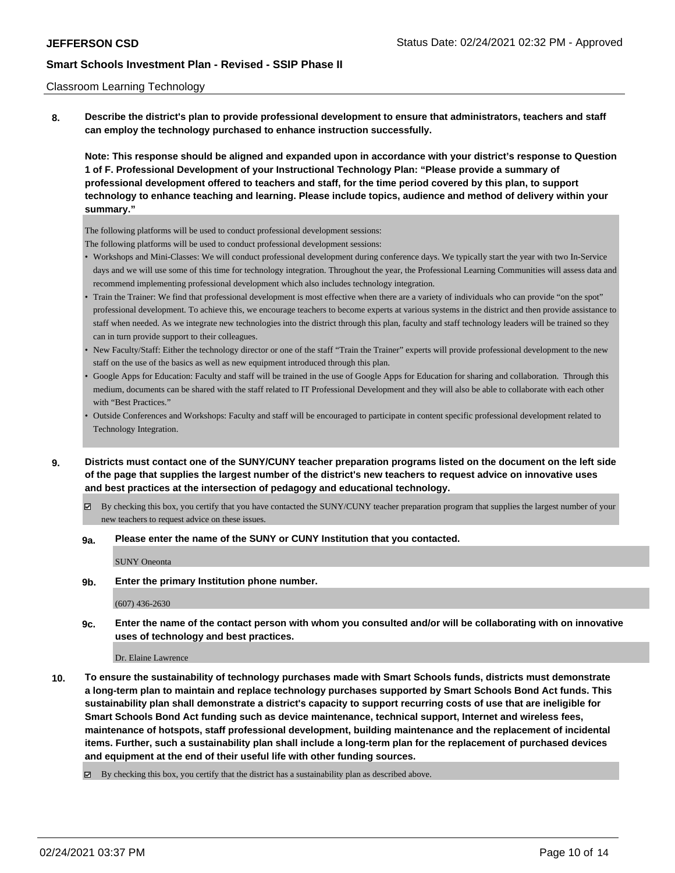### Classroom Learning Technology

**8. Describe the district's plan to provide professional development to ensure that administrators, teachers and staff can employ the technology purchased to enhance instruction successfully.**

**Note: This response should be aligned and expanded upon in accordance with your district's response to Question 1 of F. Professional Development of your Instructional Technology Plan: "Please provide a summary of professional development offered to teachers and staff, for the time period covered by this plan, to support technology to enhance teaching and learning. Please include topics, audience and method of delivery within your summary."**

The following platforms will be used to conduct professional development sessions:

The following platforms will be used to conduct professional development sessions:

- Workshops and Mini-Classes: We will conduct professional development during conference days. We typically start the year with two In-Service days and we will use some of this time for technology integration. Throughout the year, the Professional Learning Communities will assess data and recommend implementing professional development which also includes technology integration.
- Train the Trainer: We find that professional development is most effective when there are a variety of individuals who can provide "on the spot" professional development. To achieve this, we encourage teachers to become experts at various systems in the district and then provide assistance to staff when needed. As we integrate new technologies into the district through this plan, faculty and staff technology leaders will be trained so they can in turn provide support to their colleagues.
- New Faculty/Staff: Either the technology director or one of the staff "Train the Trainer" experts will provide professional development to the new staff on the use of the basics as well as new equipment introduced through this plan.
- Google Apps for Education: Faculty and staff will be trained in the use of Google Apps for Education for sharing and collaboration. Through this medium, documents can be shared with the staff related to IT Professional Development and they will also be able to collaborate with each other with "Best Practices."
- Outside Conferences and Workshops: Faculty and staff will be encouraged to participate in content specific professional development related to Technology Integration.
- **9. Districts must contact one of the SUNY/CUNY teacher preparation programs listed on the document on the left side of the page that supplies the largest number of the district's new teachers to request advice on innovative uses and best practices at the intersection of pedagogy and educational technology.**
	- $\boxtimes$  By checking this box, you certify that you have contacted the SUNY/CUNY teacher preparation program that supplies the largest number of your new teachers to request advice on these issues.

#### **9a. Please enter the name of the SUNY or CUNY Institution that you contacted.**

SUNY Oneonta

**9b. Enter the primary Institution phone number.**

(607) 436-2630

**9c. Enter the name of the contact person with whom you consulted and/or will be collaborating with on innovative uses of technology and best practices.**

Dr. Elaine Lawrence

**10. To ensure the sustainability of technology purchases made with Smart Schools funds, districts must demonstrate a long-term plan to maintain and replace technology purchases supported by Smart Schools Bond Act funds. This sustainability plan shall demonstrate a district's capacity to support recurring costs of use that are ineligible for Smart Schools Bond Act funding such as device maintenance, technical support, Internet and wireless fees, maintenance of hotspots, staff professional development, building maintenance and the replacement of incidental items. Further, such a sustainability plan shall include a long-term plan for the replacement of purchased devices and equipment at the end of their useful life with other funding sources.**

By checking this box, you certify that the district has a sustainability plan as described above.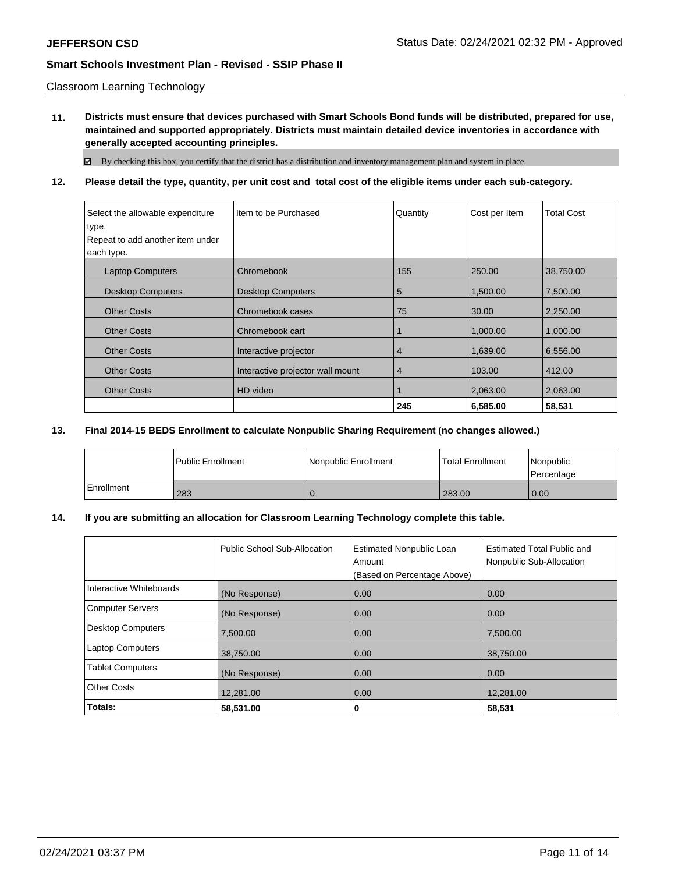Classroom Learning Technology

**11. Districts must ensure that devices purchased with Smart Schools Bond funds will be distributed, prepared for use, maintained and supported appropriately. Districts must maintain detailed device inventories in accordance with generally accepted accounting principles.**

By checking this box, you certify that the district has a distribution and inventory management plan and system in place.

## **12. Please detail the type, quantity, per unit cost and total cost of the eligible items under each sub-category.**

| Select the allowable expenditure | I Item to be Purchased           | Quantity       | Cost per Item | <b>Total Cost</b> |
|----------------------------------|----------------------------------|----------------|---------------|-------------------|
| type.                            |                                  |                |               |                   |
| Repeat to add another item under |                                  |                |               |                   |
| each type.                       |                                  |                |               |                   |
| <b>Laptop Computers</b>          | Chromebook                       | 155            | 250.00        | 38,750.00         |
| <b>Desktop Computers</b>         | <b>Desktop Computers</b>         | 5              | 1,500.00      | 7,500.00          |
| <b>Other Costs</b>               | Chromebook cases                 | 75             | 30.00         | 2,250.00          |
| <b>Other Costs</b>               | Chromebook cart                  |                | 1,000.00      | 1,000.00          |
| <b>Other Costs</b>               | Interactive projector            | $\overline{4}$ | 1,639.00      | 6,556.00          |
| <b>Other Costs</b>               | Interactive projector wall mount | 4              | 103.00        | 412.00            |
| <b>Other Costs</b>               | HD video                         |                | 2,063.00      | 2,063.00          |
|                                  |                                  | 245            | 6,585.00      | 58,531            |

### **13. Final 2014-15 BEDS Enrollment to calculate Nonpublic Sharing Requirement (no changes allowed.)**

|            | l Public Enrollment | Nonpublic Enrollment | <b>Total Enrollment</b> | Nonpublic<br>l Percentage |
|------------|---------------------|----------------------|-------------------------|---------------------------|
| Enrollment | 283                 |                      | 283.00                  | 0.00                      |

### **14. If you are submitting an allocation for Classroom Learning Technology complete this table.**

|                         | Public School Sub-Allocation | <b>Estimated Nonpublic Loan</b><br>Amount<br>(Based on Percentage Above) | <b>Estimated Total Public and</b><br>Nonpublic Sub-Allocation |
|-------------------------|------------------------------|--------------------------------------------------------------------------|---------------------------------------------------------------|
| Interactive Whiteboards | (No Response)                | 0.00                                                                     | 0.00                                                          |
| Computer Servers        | (No Response)                | 0.00                                                                     | 0.00                                                          |
| Desktop Computers       | 7.500.00                     | 0.00                                                                     | 7,500.00                                                      |
| Laptop Computers        | 38,750.00                    | 0.00                                                                     | 38,750.00                                                     |
| <b>Tablet Computers</b> | (No Response)                | 0.00                                                                     | 0.00                                                          |
| Other Costs             | 12,281.00                    | 0.00                                                                     | 12,281.00                                                     |
| Totals:                 | 58,531.00                    | 0                                                                        | 58,531                                                        |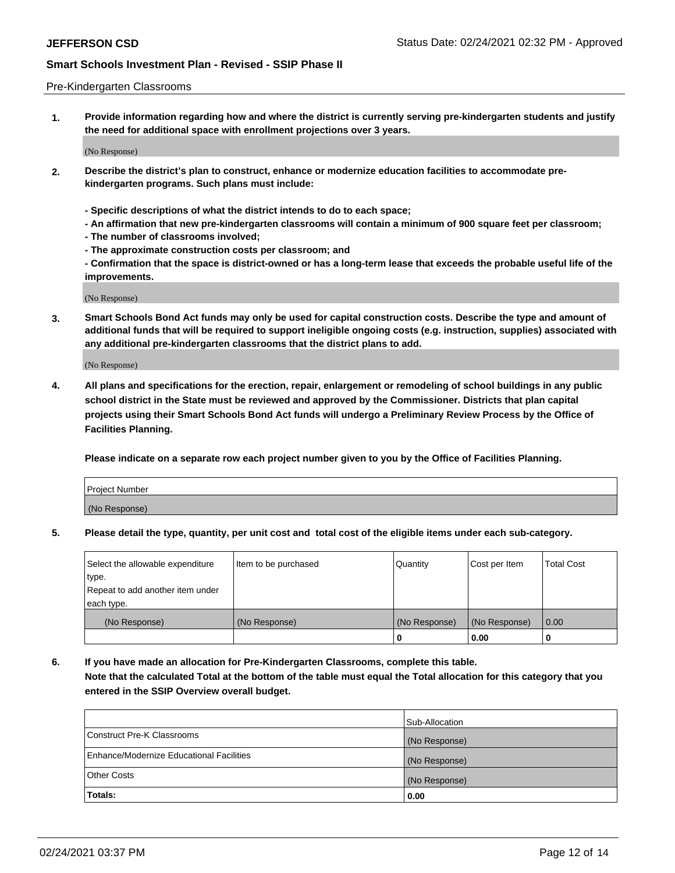### Pre-Kindergarten Classrooms

**1. Provide information regarding how and where the district is currently serving pre-kindergarten students and justify the need for additional space with enrollment projections over 3 years.**

(No Response)

- **2. Describe the district's plan to construct, enhance or modernize education facilities to accommodate prekindergarten programs. Such plans must include:**
	- **Specific descriptions of what the district intends to do to each space;**
	- **An affirmation that new pre-kindergarten classrooms will contain a minimum of 900 square feet per classroom;**
	- **The number of classrooms involved;**
	- **The approximate construction costs per classroom; and**
	- **Confirmation that the space is district-owned or has a long-term lease that exceeds the probable useful life of the improvements.**

(No Response)

**3. Smart Schools Bond Act funds may only be used for capital construction costs. Describe the type and amount of additional funds that will be required to support ineligible ongoing costs (e.g. instruction, supplies) associated with any additional pre-kindergarten classrooms that the district plans to add.**

(No Response)

**4. All plans and specifications for the erection, repair, enlargement or remodeling of school buildings in any public school district in the State must be reviewed and approved by the Commissioner. Districts that plan capital projects using their Smart Schools Bond Act funds will undergo a Preliminary Review Process by the Office of Facilities Planning.**

**Please indicate on a separate row each project number given to you by the Office of Facilities Planning.**

| Project Number |  |
|----------------|--|
| (No Response)  |  |
|                |  |

**5. Please detail the type, quantity, per unit cost and total cost of the eligible items under each sub-category.**

| Select the allowable expenditure | Item to be purchased | Quantity      | Cost per Item | <b>Total Cost</b> |
|----------------------------------|----------------------|---------------|---------------|-------------------|
| type.                            |                      |               |               |                   |
| Repeat to add another item under |                      |               |               |                   |
| each type.                       |                      |               |               |                   |
| (No Response)                    | (No Response)        | (No Response) | (No Response) | 0.00              |
|                                  |                      | U             | 0.00          |                   |

**6. If you have made an allocation for Pre-Kindergarten Classrooms, complete this table. Note that the calculated Total at the bottom of the table must equal the Total allocation for this category that you entered in the SSIP Overview overall budget.**

|                                          | Sub-Allocation |
|------------------------------------------|----------------|
| Construct Pre-K Classrooms               | (No Response)  |
| Enhance/Modernize Educational Facilities | (No Response)  |
| <b>Other Costs</b>                       | (No Response)  |
| Totals:                                  | 0.00           |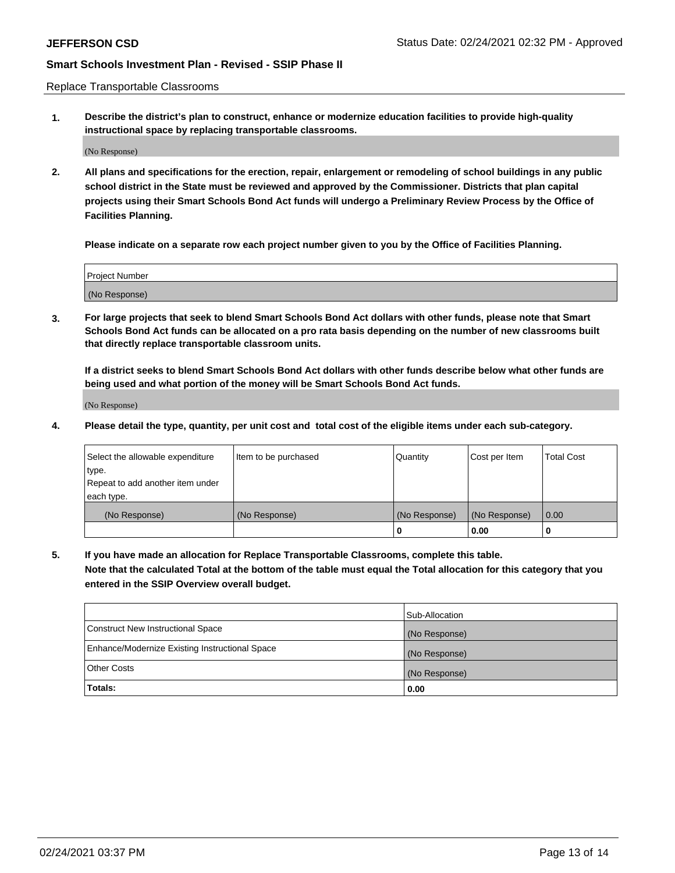Replace Transportable Classrooms

**1. Describe the district's plan to construct, enhance or modernize education facilities to provide high-quality instructional space by replacing transportable classrooms.**

(No Response)

**2. All plans and specifications for the erection, repair, enlargement or remodeling of school buildings in any public school district in the State must be reviewed and approved by the Commissioner. Districts that plan capital projects using their Smart Schools Bond Act funds will undergo a Preliminary Review Process by the Office of Facilities Planning.**

**Please indicate on a separate row each project number given to you by the Office of Facilities Planning.**

| Project Number |  |
|----------------|--|
|                |  |
|                |  |
|                |  |
| (No Response)  |  |
|                |  |
|                |  |

**3. For large projects that seek to blend Smart Schools Bond Act dollars with other funds, please note that Smart Schools Bond Act funds can be allocated on a pro rata basis depending on the number of new classrooms built that directly replace transportable classroom units.**

**If a district seeks to blend Smart Schools Bond Act dollars with other funds describe below what other funds are being used and what portion of the money will be Smart Schools Bond Act funds.**

(No Response)

**4. Please detail the type, quantity, per unit cost and total cost of the eligible items under each sub-category.**

| Select the allowable expenditure | Item to be purchased | Quantity      | Cost per Item | Total Cost |
|----------------------------------|----------------------|---------------|---------------|------------|
| ∣type.                           |                      |               |               |            |
| Repeat to add another item under |                      |               |               |            |
| each type.                       |                      |               |               |            |
| (No Response)                    | (No Response)        | (No Response) | (No Response) | 0.00       |
|                                  |                      | u             | 0.00          |            |

**5. If you have made an allocation for Replace Transportable Classrooms, complete this table. Note that the calculated Total at the bottom of the table must equal the Total allocation for this category that you entered in the SSIP Overview overall budget.**

|                                                | Sub-Allocation |
|------------------------------------------------|----------------|
| Construct New Instructional Space              | (No Response)  |
| Enhance/Modernize Existing Instructional Space | (No Response)  |
| Other Costs                                    | (No Response)  |
| Totals:                                        | 0.00           |